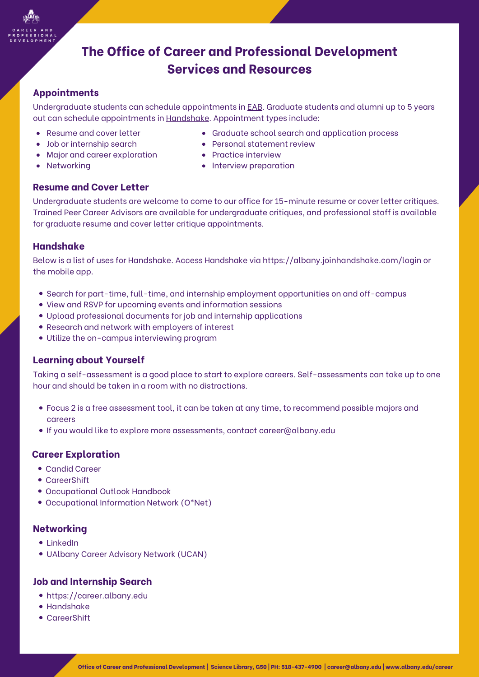

# **The Office of Career and Professional Development Services and Resources**

## **Appointments**

Undergraduate students can schedule appointments in **[EAB](https://www.albany.edu/myualbany)**. Graduate students and alumni up to 5 years out can schedule appointments in [Handshake](https://albany.joinhandshake.com/stu). Appointment types include:

- Resume and cover letter
- Job or internship search
- Major and career exploration

**Resume and Cover Letter**

• Networking

#### Personal statement review • Practice interview

Graduate school search and application process

• Interview preparation

Undergraduate students are welcome to come to our office for 15-minute resume or cover letter critiques. Trained Peer Career Advisors are available for undergraduate critiques, and professional staff is available for graduate resume and cover letter critique appointments.

### **Handshake**

Below is a list of uses for Handshake. Access Handshake via <https://albany.joinhandshake.com/login> or the mobile app.

- Search for part-time, full-time, and internship employment opportunities on and off-campus
- View and RSVP for upcoming events and information sessions
- Upload professional documents for job and internship applications
- Research and network with employers of interest
- Utilize the on-campus interviewing program

## **Learning about Yourself**

Taking a self-assessment is a good place to start to explore careers. Self-assessments can take up to one hour and should be taken in a room with no distractions.

- [Focus](https://career.albany.edu/resources/focus-2-self-assessment/) 2 is a free assessment tool, it can be taken at any time, to recommend possible majors and careers
- If you would like to explore more assessments, contact career@albany.edu

### **Career Exploration**

- [Candid](https://career.albany.edu/resources/candid-career/) Career
- [CareerShift](https://career.albany.edu/resources/careershift/)
- [Occupational](https://www.bls.gov/ooh/) Outlook Handbook
- [Occ](https://www.onetonline.org/)upational [Information](https://www.onetonline.org/) Network (O\*Net)

### **Networking**

- $\bullet$  [LinkedIn](https://www.linkedin.com/)
- [UAlb](https://career.albany.edu/resources/ucan/)any Career [Advisory](https://career.albany.edu/resources/ucan/) Network (UCAN)

### **Job and Internship Search**

- [https://career.albany.edu](https://career.albany.edu/)
- [Handshake](https://albany.joinhandshake.com/login)
- [CareerShift](https://career.albany.edu/resources/careershift/)